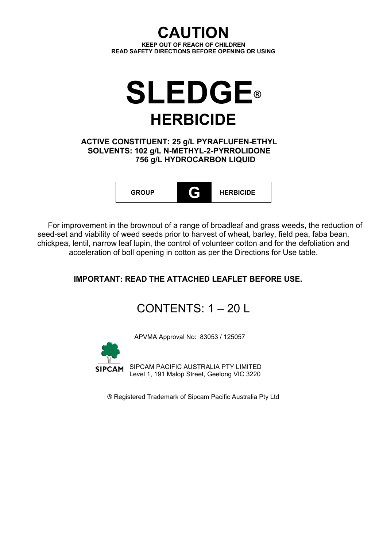**CAUTION KEEP OUT OF REACH OF CHILDREN READ SAFETY DIRECTIONS BEFORE OPENING OR USING**



## **ACTIVE CONSTITUENT: 25 g/L PYRAFLUFEN-ETHYL SOLVENTS: 102 g/L N-METHYL-2-PYRROLIDONE 756 g/L HYDROCARBON LIQUID**



For improvement in the brownout of a range of broadleaf and grass weeds, the reduction of seed-set and viability of weed seeds prior to harvest of wheat, barley, field pea, faba bean, chickpea, lentil, narrow leaf lupin, the control of volunteer cotton and for the defoliation and acceleration of boll opening in cotton as per the Directions for Use table.

# **IMPORTANT: READ THE ATTACHED LEAFLET BEFORE USE.**

# CONTENTS:  $1 - 20$  L

APVMA Approval No: 83053 / 125057



SIPCAM PACIFIC AUSTRALIA PTY LIMITED Level 1, 191 Malop Street, Geelong VIC 3220

® Registered Trademark of Sipcam Pacific Australia Pty Ltd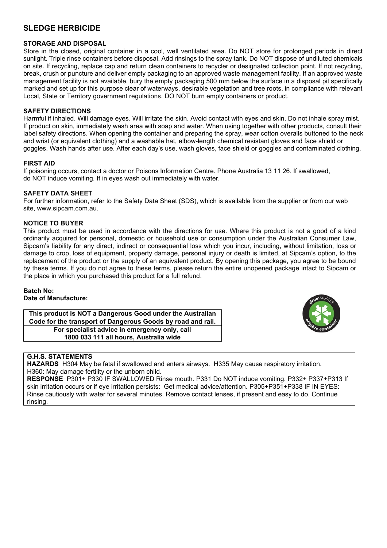#### **SLEDGE HERBICIDE**

#### **STORAGE AND DISPOSAL**

Store in the closed, original container in a cool, well ventilated area. Do NOT store for prolonged periods in direct sunlight. Triple rinse containers before disposal. Add rinsings to the spray tank. Do NOT dispose of undiluted chemicals on site. If recycling, replace cap and return clean containers to recycler or designated collection point. If not recycling, break, crush or puncture and deliver empty packaging to an approved waste management facility. If an approved waste management facility is not available, bury the empty packaging 500 mm below the surface in a disposal pit specifically marked and set up for this purpose clear of waterways, desirable vegetation and tree roots, in compliance with relevant Local, State or Territory government regulations. DO NOT burn empty containers or product.

#### **SAFETY DIRECTIONS**

Harmful if inhaled. Will damage eyes. Will irritate the skin. Avoid contact with eyes and skin. Do not inhale spray mist. If product on skin, immediately wash area with soap and water. When using together with other products, consult their label safety directions. When opening the container and preparing the spray, wear cotton overalls buttoned to the neck and wrist (or equivalent clothing) and a washable hat, elbow-length chemical resistant gloves and face shield or goggles. Wash hands after use. After each day's use, wash gloves, face shield or goggles and contaminated clothing.

#### **FIRST AID**

If poisoning occurs, contact a doctor or Poisons Information Centre. Phone Australia 13 11 26. If swallowed, do NOT induce vomiting. If in eyes wash out immediately with water.

#### **SAFETY DATA SHEET**

For further information, refer to the Safety Data Sheet (SDS), which is available from the supplier or from our web site, www.sipcam.com.au.

#### **NOTICE TO BUYER**

This product must be used in accordance with the directions for use. Where this product is not a good of a kind ordinarily acquired for personal, domestic or household use or consumption under the Australian Consumer Law, Sipcam's liability for any direct, indirect or consequential loss which you incur, including, without limitation, loss or damage to crop, loss of equipment, property damage, personal injury or death is limited, at Sipcam's option, to the replacement of the product or the supply of an equivalent product. By opening this package, you agree to be bound by these terms. If you do not agree to these terms, please return the entire unopened package intact to Sipcam or the place in which you purchased this product for a full refund.

#### **Batch No: Date of Manufacture:**

**This product is NOT a Dangerous Good under the Australian Code for the transport of Dangerous Goods by road and rail. For specialist advice in emergency only, call 1800 033 111 all hours, Australia wide**



#### **G.H.S. STATEMENTS**

**HAZARDS** H304 May be fatal if swallowed and enters airways. H335 May cause respiratory irritation. H360: May damage fertility or the unborn child.

**RESPONSE** P301+ P330 IF SWALLOWED Rinse mouth. P331 Do NOT induce vomiting. P332+ P337+P313 If skin irritation occurs or if eye irritation persists: Get medical advice/attention. P305+P351+P338 IF IN EYES: Rinse cautiously with water for several minutes. Remove contact lenses, if present and easy to do. Continue rinsing.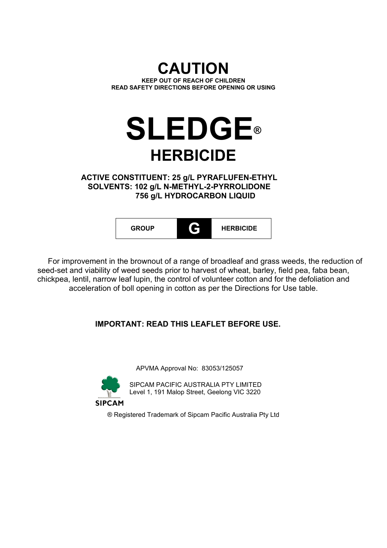# **CAUTION KEEP OUT OF REACH OF CHILDREN READ SAFETY DIRECTIONS BEFORE OPENING OR USING**

# **SLEDGE® HERBICIDE**

**ACTIVE CONSTITUENT: 25 g/L PYRAFLUFEN-ETHYL SOLVENTS: 102 g/L N-METHYL-2-PYRROLIDONE 756 g/L HYDROCARBON LIQUID**



For improvement in the brownout of a range of broadleaf and grass weeds, the reduction of seed-set and viability of weed seeds prior to harvest of wheat, barley, field pea, faba bean, chickpea, lentil, narrow leaf lupin, the control of volunteer cotton and for the defoliation and acceleration of boll opening in cotton as per the Directions for Use table.

# **IMPORTANT: READ THIS LEAFLET BEFORE USE.**

APVMA Approval No: 83053/125057



SIPCAM PACIFIC AUSTRALIA PTY LIMITED Level 1, 191 Malop Street, Geelong VIC 3220

**SIPCAM** 

® Registered Trademark of Sipcam Pacific Australia Pty Ltd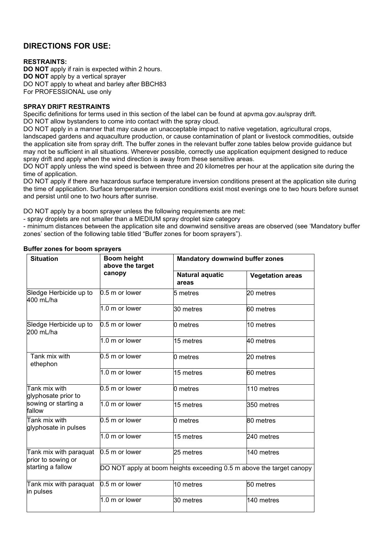## **DIRECTIONS FOR USE:**

#### **RESTRAINTS:**

**DO NOT** apply if rain is expected within 2 hours. **DO NOT** apply by a vertical sprayer DO NOT apply to wheat and barley after BBCH83 For PROFESSIONAL use only

#### **SPRAY DRIFT RESTRAINTS**

Specific definitions for terms used in this section of the label can be found at apvma.gov.au/spray drift.

DO NOT allow bystanders to come into contact with the spray cloud.

DO NOT apply in a manner that may cause an unacceptable impact to native vegetation, agricultural crops, landscaped gardens and aquaculture production, or cause contamination of plant or livestock commodities, outside the application site from spray drift. The buffer zones in the relevant buffer zone tables below provide guidance but may not be sufficient in all situations. Wherever possible, correctly use application equipment designed to reduce spray drift and apply when the wind direction is away from these sensitive areas.

DO NOT apply unless the wind speed is between three and 20 kilometres per hour at the application site during the time of application.

DO NOT apply if there are hazardous surface temperature inversion conditions present at the application site during the time of application. Surface temperature inversion conditions exist most evenings one to two hours before sunset and persist until one to two hours after sunrise.

DO NOT apply by a boom sprayer unless the following requirements are met:

- spray droplets are not smaller than a MEDIUM spray droplet size category

- minimum distances between the application site and downwind sensitive areas are observed (see 'Mandatory buffer zones' section of the following table titled "Buffer zones for boom sprayers").

| <b>Situation</b>                             | <b>Boom height</b><br>above the target | <b>Mandatory downwind buffer zones</b> |                                                                      |
|----------------------------------------------|----------------------------------------|----------------------------------------|----------------------------------------------------------------------|
|                                              | canopy                                 | <b>Natural aquatic</b><br>areas        | <b>Vegetation areas</b>                                              |
| Sledge Herbicide up to<br>400 mL/ha          | 0.5 m or lower                         | l5 metres                              | 20 metres                                                            |
|                                              | 1.0 m or lower                         | 30 metres                              | 60 metres                                                            |
| Sledge Herbicide up to<br>200 mL/ha          | 0.5 m or lower                         | 0 metres                               | 10 metres                                                            |
|                                              | 1.0 m or lower                         | 15 metres                              | 40 metres                                                            |
| Tank mix with<br>ethephon                    | $0.5m$ or lower                        | 0 metres                               | 20 metres                                                            |
|                                              | 1.0 m or lower                         | 15 metres                              | 60 metres                                                            |
| Tank mix with<br>glyphosate prior to         | 0.5 m or lower                         | l0 metres                              | 110 metres                                                           |
| sowing or starting a<br>fallow               | 1.0 m or lower                         | 15 metres                              | 350 metres                                                           |
| Tank mix with<br>glyphosate in pulses        | 0.5 m or lower                         | 0 metres                               | 80 metres                                                            |
|                                              | 1.0 m or lower                         | 15 metres                              | 240 metres                                                           |
| Tank mix with paraquat<br>prior to sowing or | $0.5m$ or lower                        | 25 metres                              | 140 metres                                                           |
| starting a fallow                            |                                        |                                        | DO NOT apply at boom heights exceeding 0.5 m above the target canopy |
| Tank mix with paraquat<br>in pulses          | 0.5 m or lower                         | 10 metres                              | 50 metres                                                            |
|                                              | 1.0 m or lower                         | 30 metres                              | 140 metres                                                           |

#### **Buffer zones for boom sprayers**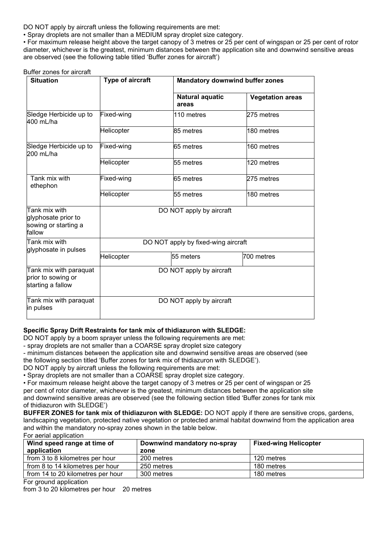DO NOT apply by aircraft unless the following requirements are met:

• Spray droplets are not smaller than a MEDIUM spray droplet size category.

• For maximum release height above the target canopy of 3 metres or 25 per cent of wingspan or 25 per cent of rotor diameter, whichever is the greatest, minimum distances between the application site and downwind sensitive areas are observed (see the following table titled 'Buffer zones for aircraft')

#### Buffer zones for aircraft

| <b>Situation</b>                                                       | Type of aircraft | <b>Mandatory downwind buffer zones</b> |                         |
|------------------------------------------------------------------------|------------------|----------------------------------------|-------------------------|
|                                                                        |                  | <b>Natural aquatic</b><br>areas        | <b>Vegetation areas</b> |
| Sledge Herbicide up to<br>400 mL/ha                                    | Fixed-wing       | 110 metres                             | 275 metres              |
|                                                                        | Helicopter       | 85 metres                              | 180 metres              |
| Sledge Herbicide up to<br>200 mL/ha                                    | Fixed-wing       | 65 metres                              | 160 metres              |
|                                                                        | Helicopter       | 55 metres                              | 120 metres              |
| Tank mix with<br>ethephon                                              | Fixed-wing       | 65 metres                              | 275 metres              |
|                                                                        | Helicopter       | 55 metres                              | 180 metres              |
| Tank mix with<br>glyphosate prior to<br>sowing or starting a<br>fallow |                  | DO NOT apply by aircraft               |                         |
| Tank mix with<br>glyphosate in pulses                                  |                  | DO NOT apply by fixed-wing aircraft    |                         |
|                                                                        | Helicopter       | 55 meters                              | 700 metres              |
| Tank mix with paraquat<br>prior to sowing or<br>starting a fallow      |                  | DO NOT apply by aircraft               |                         |
| Tank mix with paraquat<br>in pulses                                    |                  | DO NOT apply by aircraft               |                         |

#### **Specific Spray Drift Restraints for tank mix of thidiazuron with SLEDGE:**

DO NOT apply by a boom sprayer unless the following requirements are met:

- spray droplets are not smaller than a COARSE spray droplet size category

- minimum distances between the application site and downwind sensitive areas are observed (see

the following section titled 'Buffer zones for tank mix of thidiazuron with SLEDGE').

DO NOT apply by aircraft unless the following requirements are met:

• Spray droplets are not smaller than a COARSE spray droplet size category.

• For maximum release height above the target canopy of 3 metres or 25 per cent of wingspan or 25 per cent of rotor diameter, whichever is the greatest, minimum distances between the application site and downwind sensitive areas are observed (see the following section titled 'Buffer zones for tank mix of thidiazuron with SLEDGE')

**BUFFER ZONES for tank mix of thidiazuron with SLEDGE:** DO NOT apply if there are sensitive crops, gardens, landscaping vegetation, protected native vegetation or protected animal habitat downwind from the application area and within the mandatory no-spray zones shown in the table below. For aerial application

| Wind speed range at time of       | Downwind mandatory no-spray | <b>Fixed-wing Helicopter</b> |
|-----------------------------------|-----------------------------|------------------------------|
| application                       | zone                        |                              |
| from 3 to 8 kilometres per hour   | 200 metres                  | 120 metres                   |
| from 8 to 14 kilometres per hour  | 250 metres                  | 180 metres                   |
| from 14 to 20 kilometres per hour | 300 metres                  | 180 metres                   |

For ground application

from 3 to 20 kilometres per hour 20 metres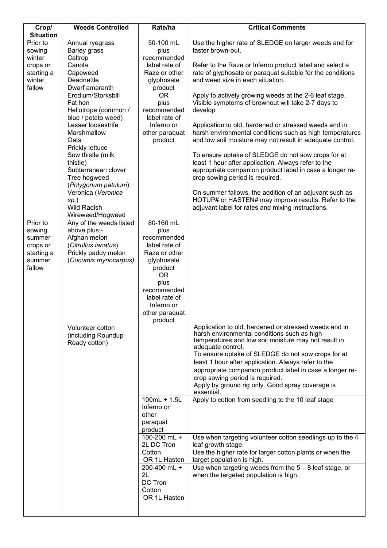| Crop/            | <b>Weeds Controlled</b> | Rate/ha                 | <b>Critical Comments</b>                                                                            |
|------------------|-------------------------|-------------------------|-----------------------------------------------------------------------------------------------------|
| <b>Situation</b> |                         |                         |                                                                                                     |
| Prior to         | Annual ryegrass         | 50-100 mL               | Use the higher rate of SLEDGE on larger weeds and for                                               |
| sowing           | <b>Barley grass</b>     | plus                    | faster brown-out.                                                                                   |
| winter           | Caltrop                 | recommended             |                                                                                                     |
| crops or         | Canola                  | label rate of           | Refer to the Raze or Inferno product label and select a                                             |
| starting a       | Capeweed                | Raze or other           | rate of glyphosate or paraquat suitable for the conditions                                          |
| winter           | Deadnettle              | glyphosate              | and weed size in each situation.                                                                    |
| fallow           | Dwarf amaranth          | product                 |                                                                                                     |
|                  | Erodium/Storksbill      | <b>OR</b>               | Apply to actively growing weeds at the 2-6 leaf stage.                                              |
|                  | Fat hen                 | plus                    | Visible symptoms of brownout will take 2-7 days to                                                  |
|                  | Heliotrope (common /    | recommended             | develop                                                                                             |
|                  | blue / potato weed)     | label rate of           |                                                                                                     |
|                  | Lesser loosestrife      | Inferno or              | Application to old, hardened or stressed weeds and in                                               |
|                  | Marshmallow             | other paraquat          | harsh environmental conditions such as high temperatures                                            |
|                  | Oats                    | product                 |                                                                                                     |
|                  |                         |                         | and low soil moisture may not result in adequate control.                                           |
|                  | Prickly lettuce         |                         |                                                                                                     |
|                  | Sow thistle (milk       |                         | To ensure uptake of SLEDGE do not sow crops for at                                                  |
|                  | thistle)                |                         | least 1 hour after application. Always refer to the                                                 |
|                  | Subterranean clover     |                         | appropriate companion product label in case a longer re-                                            |
|                  | Tree hogweed            |                         | crop sowing period is required.                                                                     |
|                  | (Polygonum patulum)     |                         |                                                                                                     |
|                  | Veronica (Veronica      |                         | On summer fallows, the addition of an adjuvant such as                                              |
|                  | $sp.$ )                 |                         | HOTUP# or HASTEN# may improve results. Refer to the                                                 |
|                  | <b>Wild Radish</b>      |                         | adjuvant label for rates and mixing instructions.                                                   |
|                  | Wireweed/Hogweed        |                         |                                                                                                     |
| Prior to         | Any of the weeds listed | 80-160 mL               |                                                                                                     |
| sowing           | above plus:-            | plus                    |                                                                                                     |
| summer           | Afghan melon            | recommended             |                                                                                                     |
| crops or         | (Citrullus lanatus)     | label rate of           |                                                                                                     |
| starting a       | Prickly paddy melon     | Raze or other           |                                                                                                     |
| summer           | (Cucumis myriocarpus)   | glyphosate              |                                                                                                     |
| fallow           |                         | product                 |                                                                                                     |
|                  |                         | <b>OR</b>               |                                                                                                     |
|                  |                         | plus                    |                                                                                                     |
|                  |                         | recommended             |                                                                                                     |
|                  |                         | label rate of           |                                                                                                     |
|                  |                         | Inferno or              |                                                                                                     |
|                  |                         | other paraquat          |                                                                                                     |
|                  |                         | product                 |                                                                                                     |
|                  | Volunteer cotton        |                         | Application to old, hardened or stressed weeds and in                                               |
|                  | (including Roundup      |                         | harsh environmental conditions such as high<br>temperatures and low soil moisture may not result in |
|                  | Ready cotton)           |                         | adequate control.                                                                                   |
|                  |                         |                         | To ensure uptake of SLEDGE do not sow crops for at                                                  |
|                  |                         |                         | least 1 hour after application. Always refer to the                                                 |
|                  |                         |                         | appropriate companion product label in case a longer re-                                            |
|                  |                         |                         | crop sowing period is required.                                                                     |
|                  |                         |                         | Apply by ground rig only. Good spray coverage is                                                    |
|                  |                         |                         | essential.                                                                                          |
|                  |                         | $100mL + 1.5L$          | Apply to cotton from seedling to the 10 leaf stage                                                  |
|                  |                         | Inferno or              |                                                                                                     |
|                  |                         | other                   |                                                                                                     |
|                  |                         |                         |                                                                                                     |
|                  |                         | paraquat                |                                                                                                     |
|                  |                         | product<br>100-200 mL + |                                                                                                     |
|                  |                         |                         | Use when targeting volunteer cotton seedlings up to the 4                                           |
|                  |                         | 2L DC Tron<br>Cotton    | leaf growth stage.                                                                                  |
|                  |                         |                         | Use the higher rate for larger cotton plants or when the                                            |
|                  |                         | OR 1L Hasten            | target population is high.                                                                          |
|                  |                         | 200-400 mL +            | Use when targeting weeds from the $5 - 8$ leaf stage, or                                            |
|                  |                         | 2L                      | when the targeted population is high.                                                               |
|                  |                         | DC Tron                 |                                                                                                     |
|                  |                         | Cotton                  |                                                                                                     |
|                  |                         | OR 1L Hasten            |                                                                                                     |
|                  |                         |                         |                                                                                                     |
|                  |                         |                         |                                                                                                     |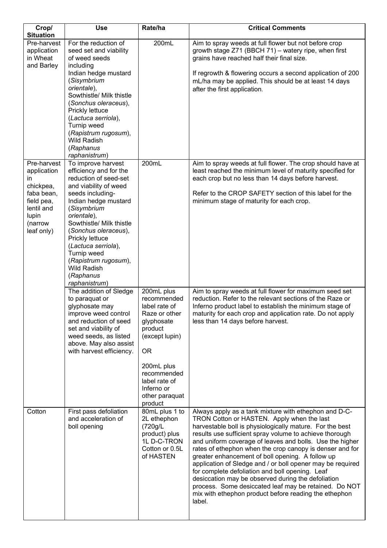| Crop/<br><b>Situation</b>                                                                                                 | <b>Use</b>                                                                                                                                                                                                                                                                                                                                                        | Rate/ha                                                                                                                                                                                                      | <b>Critical Comments</b>                                                                                                                                                                                                                                                                                                                                                                                                                                                                                                                                                                                                                                                                                  |
|---------------------------------------------------------------------------------------------------------------------------|-------------------------------------------------------------------------------------------------------------------------------------------------------------------------------------------------------------------------------------------------------------------------------------------------------------------------------------------------------------------|--------------------------------------------------------------------------------------------------------------------------------------------------------------------------------------------------------------|-----------------------------------------------------------------------------------------------------------------------------------------------------------------------------------------------------------------------------------------------------------------------------------------------------------------------------------------------------------------------------------------------------------------------------------------------------------------------------------------------------------------------------------------------------------------------------------------------------------------------------------------------------------------------------------------------------------|
| Pre-harvest<br>application<br>in Wheat<br>and Barley                                                                      | For the reduction of<br>seed set and viability<br>of weed seeds<br>including<br>Indian hedge mustard<br>(Sisymbrium<br>orientale),<br>Sowthistle/ Milk thistle<br>(Sonchus oleraceus),<br>Prickly lettuce<br>(Lactuca serriola),<br>Turnip weed<br>(Rapistrum rugosum),<br><b>Wild Radish</b><br>(Raphanus<br>raphanistrum)                                       | 200mL                                                                                                                                                                                                        | Aim to spray weeds at full flower but not before crop<br>growth stage Z71 (BBCH 71) - watery ripe, when first<br>grains have reached half their final size.<br>If regrowth & flowering occurs a second application of 200<br>mL/ha may be applied. This should be at least 14 days<br>after the first application.                                                                                                                                                                                                                                                                                                                                                                                        |
| Pre-harvest<br>application<br>in<br>chickpea,<br>faba bean,<br>field pea,<br>lentil and<br>lupin<br>(narrow<br>leaf only) | To improve harvest<br>efficiency and for the<br>reduction of seed-set<br>and viability of weed<br>seeds including-<br>Indian hedge mustard<br>(Sisymbrium<br>orientale),<br>Sowthistle/ Milk thistle<br>(Sonchus oleraceus),<br>Prickly lettuce<br>(Lactuca serriola),<br>Turnip weed<br>(Rapistrum rugosum),<br><b>Wild Radish</b><br>(Raphanus<br>raphanistrum) | 200mL                                                                                                                                                                                                        | Aim to spray weeds at full flower. The crop should have at<br>least reached the minimum level of maturity specified for<br>each crop but no less than 14 days before harvest.<br>Refer to the CROP SAFETY section of this label for the<br>minimum stage of maturity for each crop.                                                                                                                                                                                                                                                                                                                                                                                                                       |
|                                                                                                                           | The addition of Sledge<br>to paraquat or<br>glyphosate may<br>improve weed control<br>and reduction of seed<br>set and viability of<br>weed seeds, as listed<br>above. May also assist<br>with harvest efficiency.                                                                                                                                                | 200mL plus<br>recommended<br>label rate of<br>Raze or other<br>glyphosate<br>product<br>(except lupin)<br><b>OR</b><br>200mL plus<br>recommended<br>label rate of<br>Inferno or<br>other paraquat<br>product | Aim to spray weeds at full flower for maximum seed set<br>reduction. Refer to the relevant sections of the Raze or<br>Inferno product label to establish the minimum stage of<br>maturity for each crop and application rate. Do not apply<br>less than 14 days before harvest.                                                                                                                                                                                                                                                                                                                                                                                                                           |
| Cotton                                                                                                                    | First pass defoliation<br>and acceleration of<br>boll opening                                                                                                                                                                                                                                                                                                     | 80mL plus 1 to<br>2L ethephon<br>(720g/L<br>product) plus<br>1L D-C-TRON<br>Cotton or 0.5L<br>of HASTEN                                                                                                      | Always apply as a tank mixture with ethephon and D-C-<br>TRON Cotton or HASTEN. Apply when the last<br>harvestable boll is physiologically mature. For the best<br>results use sufficient spray volume to achieve thorough<br>and uniform coverage of leaves and bolls. Use the higher<br>rates of ethephon when the crop canopy is denser and for<br>greater enhancement of boll opening. A follow up<br>application of Sledge and / or boll opener may be required<br>for complete defoliation and boll opening. Leaf<br>desiccation may be observed during the defoliation<br>process. Some desiccated leaf may be retained. Do NOT<br>mix with ethephon product before reading the ethephon<br>label. |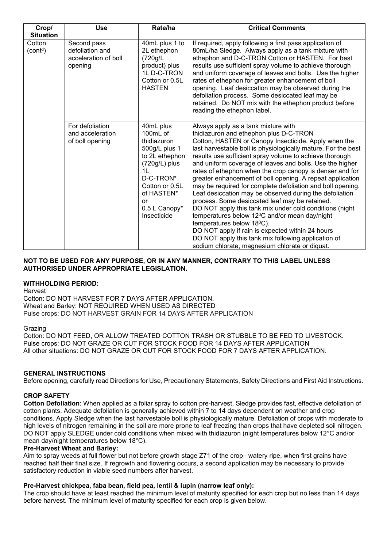| Crop/<br><b>Situation</b>      | <b>Use</b>                                                        | Rate/ha                                                                                                                                                                                         | <b>Critical Comments</b>                                                                                                                                                                                                                                                                                                                                                                                                                                                                                                                                                                                                                                                                                                                                                                                                                                                                                                                             |
|--------------------------------|-------------------------------------------------------------------|-------------------------------------------------------------------------------------------------------------------------------------------------------------------------------------------------|------------------------------------------------------------------------------------------------------------------------------------------------------------------------------------------------------------------------------------------------------------------------------------------------------------------------------------------------------------------------------------------------------------------------------------------------------------------------------------------------------------------------------------------------------------------------------------------------------------------------------------------------------------------------------------------------------------------------------------------------------------------------------------------------------------------------------------------------------------------------------------------------------------------------------------------------------|
| Cotton<br>(cont <sup>d</sup> ) | Second pass<br>defoliation and<br>acceleration of boll<br>opening | 40mL plus 1 to<br>2L ethephon<br>(720g/L<br>product) plus<br>1L D-C-TRON<br>Cotton or 0.5L<br><b>HASTEN</b>                                                                                     | If required, apply following a first pass application of<br>80mL/ha Sledge. Always apply as a tank mixture with<br>ethephon and D-C-TRON Cotton or HASTEN. For best<br>results use sufficient spray volume to achieve thorough<br>and uniform coverage of leaves and bolls. Use the higher<br>rates of ethephon for greater enhancement of boll<br>opening. Leaf desiccation may be observed during the<br>defoliation process. Some desiccated leaf may be<br>retained. Do NOT mix with the ethephon product before<br>reading the ethephon label.                                                                                                                                                                                                                                                                                                                                                                                                  |
|                                | For defoliation<br>and acceleration<br>of boll opening            | 40mL plus<br>100mL of<br>thidiazuron<br>500g/L plus 1<br>to 2L ethephon<br>$(720g/L)$ plus<br>1 <sub>L</sub><br>D-C-TRON*<br>Cotton or 0.5L<br>of HASTEN*<br>or<br>0.5 L Canopy*<br>Insecticide | Always apply as a tank mixture with<br>thidiazuron and ethephon plus D-C-TRON<br>Cotton, HASTEN or Canopy Insecticide. Apply when the<br>last harvestable boll is physiologically mature. For the best<br>results use sufficient spray volume to achieve thorough<br>and uniform coverage of leaves and bolls. Use the higher<br>rates of ethephon when the crop canopy is denser and for<br>greater enhancement of boll opening. A repeat application<br>may be required for complete defoliation and boll opening.<br>Leaf desiccation may be observed during the defoliation<br>process. Some desiccated leaf may be retained.<br>DO NOT apply this tank mix under cold conditions (night<br>temperatures below 12°C and/or mean day/night<br>temperatures below 18 <sup>0</sup> C).<br>DO NOT apply if rain is expected within 24 hours<br>DO NOT apply this tank mix following application of<br>sodium chlorate, magnesium chlorate or diquat. |

#### **NOT TO BE USED FOR ANY PURPOSE, OR IN ANY MANNER, CONTRARY TO THIS LABEL UNLESS AUTHORISED UNDER APPROPRIATE LEGISLATION.**

#### **WITHHOLDING PERIOD:**

Harvest

Cotton: DO NOT HARVEST FOR 7 DAYS AFTER APPLICATION. Wheat and Barley: NOT REQUIRED WHEN USED AS DIRECTED Pulse crops: DO NOT HARVEST GRAIN FOR 14 DAYS AFTER APPLICATION

#### Grazing

Cotton: DO NOT FEED, OR ALLOW TREATED COTTON TRASH OR STUBBLE TO BE FED TO LIVESTOCK. Pulse crops: DO NOT GRAZE OR CUT FOR STOCK FOOD FOR 14 DAYS AFTER APPLICATION All other situations: DO NOT GRAZE OR CUT FOR STOCK FOOD FOR 7 DAYS AFTER APPLICATION.

#### **GENERAL INSTRUCTIONS**

Before opening, carefully read Directions for Use, Precautionary Statements, Safety Directions and First Aid Instructions.

#### **CROP SAFETY**

**Cotton Defoliation**: When applied as a foliar spray to cotton pre-harvest, Sledge provides fast, effective defoliation of cotton plants. Adequate defoliation is generally achieved within 7 to 14 days dependent on weather and crop conditions. Apply Sledge when the last harvestable boll is physiologically mature. Defoliation of crops with moderate to high levels of nitrogen remaining in the soil are more prone to leaf freezing than crops that have depleted soil nitrogen. DO NOT apply SLEDGE under cold conditions when mixed with thidiazuron (night temperatures below 12°C and/or mean day/night temperatures below 18°C).

#### **Pre-Harvest Wheat and Barley:**

Aim to spray weeds at full flower but not before growth stage Z71 of the crop– watery ripe, when first grains have reached half their final size. If regrowth and flowering occurs, a second application may be necessary to provide satisfactory reduction in viable seed numbers after harvest.

#### **Pre-Harvest chickpea, faba bean, field pea, lentil & lupin (narrow leaf only):**

The crop should have at least reached the minimum level of maturity specified for each crop but no less than 14 days before harvest. The minimum level of maturity specified for each crop is given below.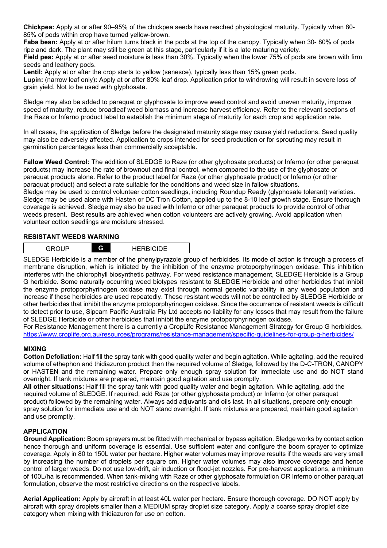**Chickpea:** Apply at or after 90–95% of the chickpea seeds have reached physiological maturity. Typically when 80- 85% of pods within crop have turned yellow-brown.

**Faba bean:** Apply at or after hilum turns black in the pods at the top of the canopy. Typically when 30- 80% of pods ripe and dark. The plant may still be green at this stage, particularly if it is a late maturing variety.

**Field pea:** Apply at or after seed moisture is less than 30%. Typically when the lower 75% of pods are brown with firm seeds and leathery pods.

**Lentil:** Apply at or after the crop starts to yellow (senesce), typically less than 15% green pods.

**Lupin:** (narrow leaf only)**:** Apply at or after 80% leaf drop. Application prior to windrowing will result in severe loss of grain yield. Not to be used with glyphosate.

Sledge may also be added to paraquat or glyphosate to improve weed control and avoid uneven maturity, improve speed of maturity, reduce broadleaf weed biomass and increase harvest efficiency. Refer to the relevant sections of the Raze or Inferno product label to establish the minimum stage of maturity for each crop and application rate.

In all cases, the application of Sledge before the designated maturity stage may cause yield reductions. Seed quality may also be adversely affected. Application to crops intended for seed production or for sprouting may result in germination percentages less than commercially acceptable.

**Fallow Weed Control:** The addition of SLEDGE to Raze (or other glyphosate products) or Inferno (or other paraquat products) may increase the rate of brownout and final control, when compared to the use of the glyphosate or paraquat products alone. Refer to the product label for Raze (or other glyphosate product) or Inferno (or other paraquat product) and select a rate suitable for the conditions and weed size in fallow situations. Sledge may be used to control volunteer cotton seedlings, including Roundup Ready (glyphosate tolerant) varieties. Sledge may be used alone with Hasten or DC Tron Cotton, applied up to the 8-10 leaf growth stage. Ensure thorough coverage is achieved. Sledge may also be used with Inferno or other paraquat products to provide control of other weeds present. Best results are achieved when cotton volunteers are actively growing. Avoid application when volunteer cotton seedlings are moisture stressed.

#### **RESISTANT WEEDS WARNING**

| -<br>. |
|--------|
|--------|

SLEDGE Herbicide is a member of the phenylpyrazole group of herbicides. Its mode of action is through a process of membrane disruption, which is initiated by the inhibition of the enzyme protoporphyrinogen oxidase. This inhibition interferes with the chlorophyll biosynthetic pathway. For weed resistance management, SLEDGE Herbicide is a Group G herbicide. Some naturally occurring weed biotypes resistant to SLEDGE Herbicide and other herbicides that inhibit the enzyme protoporphyrinogen oxidase may exist through normal genetic variability in any weed population and increase if these herbicides are used repeatedly. These resistant weeds will not be controlled by SLEDGE Herbicide or other herbicides that inhibit the enzyme protoporphyrinogen oxidase. Since the occurrence of resistant weeds is difficult to detect prior to use, Sipcam Pacific Australia Pty Ltd accepts no liability for any losses that may result from the failure of SLEDGE Herbicide or other herbicides that inhibit the enzyme protoporphyrinogen oxidase.

For Resistance Management there is a currently a CropLife Resistance Management Strategy for Group G herbicides. <https://www.croplife.org.au/resources/programs/resistance-management/specific-guidelines-for-group-g-herbicides/>

#### **MIXING**

**Cotton Defoliation:** Half fill the spray tank with good quality water and begin agitation. While agitating, add the required volume of ethephon and thidiazuron product then the required volume of Sledge, followed by the D-C-TRON, CANOPY or HASTEN and the remaining water. Prepare only enough spray solution for immediate use and do NOT stand overnight. If tank mixtures are prepared, maintain good agitation and use promptly.

**All other situations:** Half fill the spray tank with good quality water and begin agitation. While agitating, add the required volume of SLEDGE. If required, add Raze (or other glyphosate product) or Inferno (or other paraquat product) followed by the remaining water. Always add adjuvants and oils last. In all situations, prepare only enough spray solution for immediate use and do NOT stand overnight. If tank mixtures are prepared, maintain good agitation and use promptly.

#### **APPLICATION**

**Ground Application:** Boom sprayers must be fitted with mechanical or bypass agitation. Sledge works by contact action hence thorough and uniform coverage is essential. Use sufficient water and configure the boom sprayer to optimize coverage. Apply in 80 to 150L water per hectare. Higher water volumes may improve results if the weeds are very small by increasing the number of droplets per square cm. Higher water volumes may also improve coverage and hence control of larger weeds. Do not use low-drift, air induction or flood-jet nozzles. For pre-harvest applications, a minimum of 100L/ha is recommended. When tank-mixing with Raze or other glyphosate formulation OR Inferno or other paraquat formulation, observe the most restrictive directions on the respective labels.

**Aerial Application:** Apply by aircraft in at least 40L water per hectare. Ensure thorough coverage. DO NOT apply by aircraft with spray droplets smaller than a MEDIUM spray droplet size category. Apply a coarse spray droplet size category when mixing with thidiazuron for use on cotton.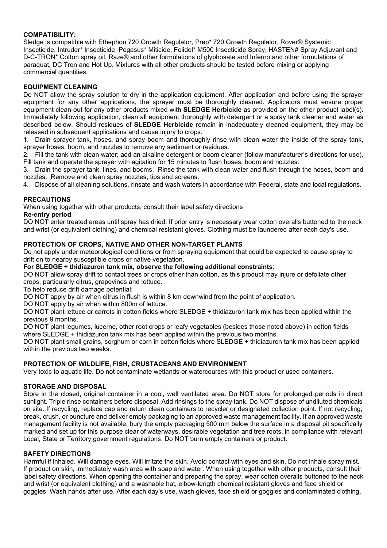#### **COMPATIBILITY:**

Sledge is compatible with Ethephon 720 Growth Regulator, Prep\* 720 Growth Regulator, Rover® Systemic Insecticide, Intruder\* Insecticide, Pegasus\* Miticide, Folidol\* M500 Insecticide Spray, HASTEN# Spray Adjuvant and D-C-TRON\* Cotton spray oil, Raze® and other formulations of glyphosate and Inferno and other formulations of paraquat, DC Tron and Hot Up. Mixtures with all other products should be tested before mixing or applying commercial quantities.

#### **EQUIPMENT CLEANING**

Do NOT allow the spray solution to dry in the application equipment. After application and before using the sprayer equipment for any other applications, the sprayer must be thoroughly cleaned. Applicators must ensure proper equipment clean-out for any other products mixed with **SLEDGE Herbicide** as provided on the other product label(s). Immediately following application, clean all equipment thoroughly with detergent or a spray tank cleaner and water as described below. Should residues of **SLEDGE Herbicide** remain in inadequately cleaned equipment, they may be released in subsequent applications and cause injury to crops.

1. Drain sprayer tank, hoses, and spray boom and thoroughly rinse with clean water the inside of the spray tank, sprayer hoses, boom, and nozzles to remove any sediment or residues.

2. Fill the tank with clean water; add an alkaline detergent or boom cleaner (follow manufacturer's directions for use). Fill tank and operate the sprayer with agitation for 15 minutes to flush hoses, boom and nozzles.

3. Drain the sprayer tank, lines, and booms. Rinse the tank with clean water and flush through the hoses, boom and nozzles. Remove and clean spray nozzles, tips and screens.

4. Dispose of all cleaning solutions, rinsate and wash waters in accordance with Federal, state and local regulations.

#### **PRECAUTIONS**

When using together with other products, consult their label safety directions

#### **Re-entry period**

DO NOT enter treated areas until spray has dried. If prior entry is necessary wear cotton overalls buttoned to the neck and wrist (or equivalent clothing) and chemical resistant gloves. Clothing must be laundered after each day's use.

#### **PROTECTION OF CROPS, NATIVE AND OTHER NON-TARGET PLANTS**

Do not apply under meteorological conditions or from spraying equipment that could be expected to cause spray to drift on to nearby susceptible crops or native vegetation.

**For SLEDGE + thidiazuron tank mix, observe the following additional constraints**:

DO NOT allow spray drift to contact trees or crops other than cotton, as this product may injure or defoliate other crops, particularly citrus, grapevines and lettuce.

To help reduce drift damage potential:

DO NOT apply by air when citrus in flush is within 8 km downwind from the point of application.

DO NOT apply by air when within 800m of lettuce.

DO NOT plant lettuce or carrots in cotton fields where SLEDGE + thidiazuron tank mix has been applied within the previous 9 months.

DO NOT plant legumes, lucerne, other root crops or leafy vegetables (besides those noted above) in cotton fields where SLEDGE + thidiazuron tank mix has been applied within the previous two months.

DO NOT plant small grains, sorghum or corn in cotton fields where SLEDGE + thidiazuron tank mix has been applied within the previous two weeks.

#### **PROTECTION OF WILDLIFE, FISH, CRUSTACEANS AND ENVIRONMENT**

Very toxic to aquatic life. Do not contaminate wetlands or watercourses with this product or used containers.

#### **STORAGE AND DISPOSAL**

Store in the closed, original container in a cool, well ventilated area. Do NOT store for prolonged periods in direct sunlight. Triple rinse containers before disposal. Add rinsings to the spray tank. Do NOT dispose of undiluted chemicals on site. If recycling, replace cap and return clean containers to recycler or designated collection point. If not recycling, break, crush, or puncture and deliver empty packaging to an approved waste management facility. If an approved waste management facility is not available, bury the empty packaging 500 mm below the surface in a disposal pit specifically marked and set up for this purpose clear of waterways, desirable vegetation and tree roots, in compliance with relevant Local, State or Territory government regulations. Do NOT burn empty containers or product.

#### **SAFETY DIRECTIONS**

Harmful if inhaled. Will damage eyes. Will irritate the skin. Avoid contact with eyes and skin. Do not inhale spray mist. If product on skin, immediately wash area with soap and water. When using together with other products, consult their label safety directions. When opening the container and preparing the spray, wear cotton overalls buttoned to the neck and wrist (or equivalent clothing) and a washable hat, elbow-length chemical resistant gloves and face shield or goggles. Wash hands after use. After each day's use, wash gloves, face shield or goggles and contaminated clothing.